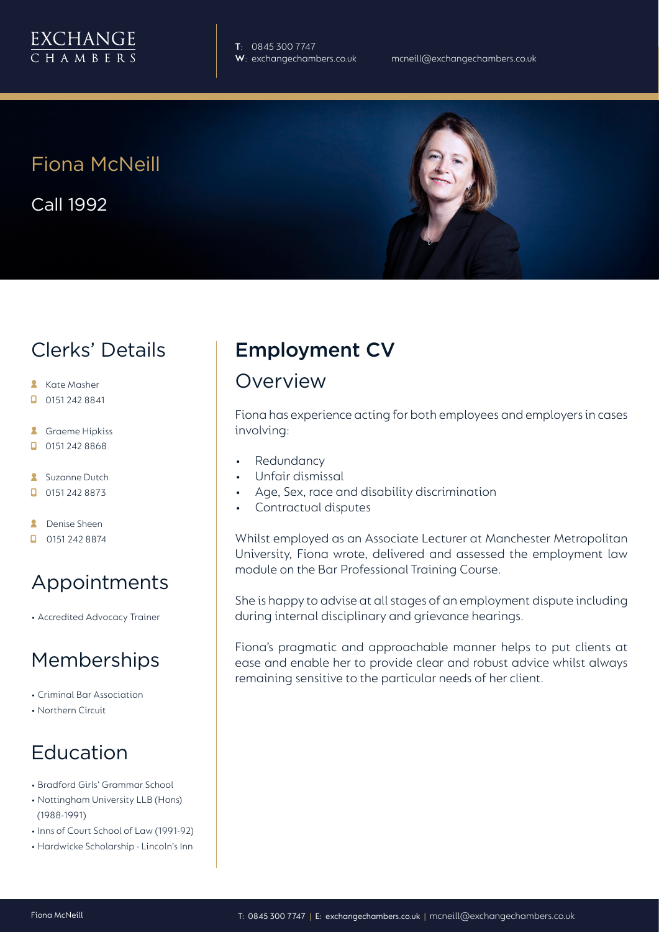

**T**: 0845 300 7747

# Fiona McNeill

Call 1992



### Clerks' Details

- **Kate Masher**
- $\Box$  0151 242 8841
- **A** Graeme Hipkiss
- $\Box$  0151 242 8868
- **Suzanne Dutch**
- $\Box$  0151 242 8873
- **A** Denise Sheen
- $\Box$  0151 242 8874

# Appointments

• Accredited Advocacy Trainer

#### Memberships

- Criminal Bar Association
- Northern Circuit

# Education

- Bradford Girls' Grammar School
- Nottingham University LLB (Hons) (1988-1991)
- Inns of Court School of Law (1991-92)
- Hardwicke Scholarship Lincoln's Inn

# Employment CV

#### Overview

Fiona has experience acting for both employees and employers in cases involving:

- **Redundancy**
- Unfair dismissal
- Age, Sex, race and disability discrimination
- Contractual disputes

Whilst employed as an Associate Lecturer at Manchester Metropolitan University, Fiona wrote, delivered and assessed the employment law module on the Bar Professional Training Course.

She is happy to advise at all stages of an employment dispute including during internal disciplinary and grievance hearings.

Fiona's pragmatic and approachable manner helps to put clients at ease and enable her to provide clear and robust advice whilst always remaining sensitive to the particular needs of her client.